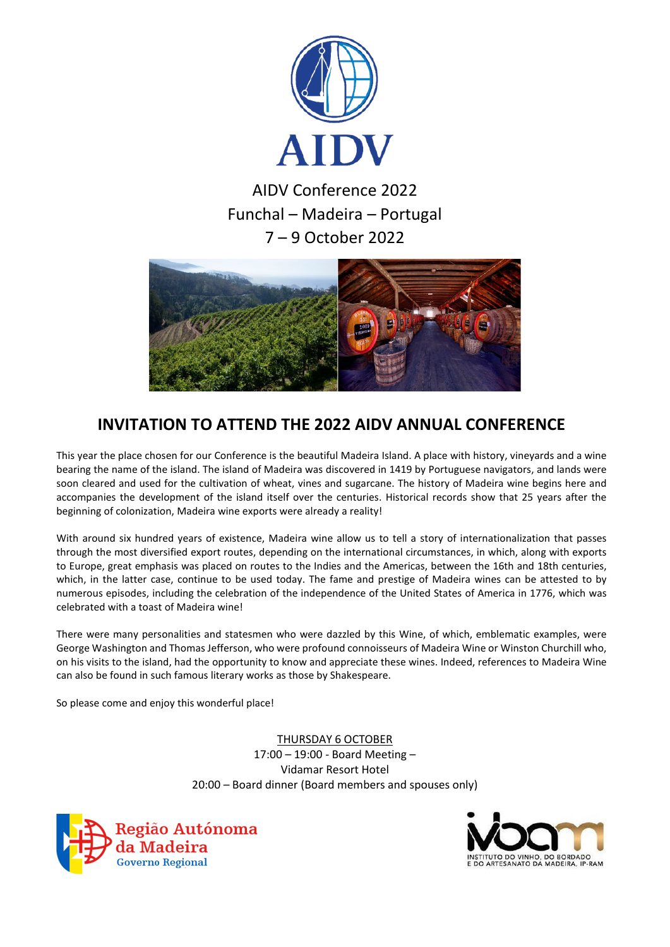



## **INVITATION TO ATTEND THE 2022 AIDV ANNUAL CONFERENCE**

This year the place chosen for our Conference is the beautiful Madeira Island. A place with history, vineyards and a wine bearing the name of the island. The island of Madeira was discovered in 1419 by Portuguese navigators, and lands were soon cleared and used for the cultivation of wheat, vines and sugarcane. The history of Madeira wine begins here and accompanies the development of the island itself over the centuries. Historical records show that 25 years after the beginning of colonization, Madeira wine exports were already a reality!

With around six hundred years of existence, Madeira wine allow us to tell a story of internationalization that passes through the most diversified export routes, depending on the international circumstances, in which, along with exports to Europe, great emphasis was placed on routes to the Indies and the Americas, between the 16th and 18th centuries, which, in the latter case, continue to be used today. The fame and prestige of Madeira wines can be attested to by numerous episodes, including the celebration of the independence of the United States of America in 1776, which was celebrated with a toast of Madeira wine!

There were many personalities and statesmen who were dazzled by this Wine, of which, emblematic examples, were George Washington and Thomas Jefferson, who were profound connoisseurs of Madeira Wine or Winston Churchill who, on his visits to the island, had the opportunity to know and appreciate these wines. Indeed, references to Madeira Wine can also be found in such famous literary works as those by Shakespeare.

So please come and enjoy this wonderful place!

THURSDAY 6 OCTOBER 17:00 – 19:00 - Board Meeting – Vidamar Resort Hotel 20:00 – Board dinner (Board members and spouses only)



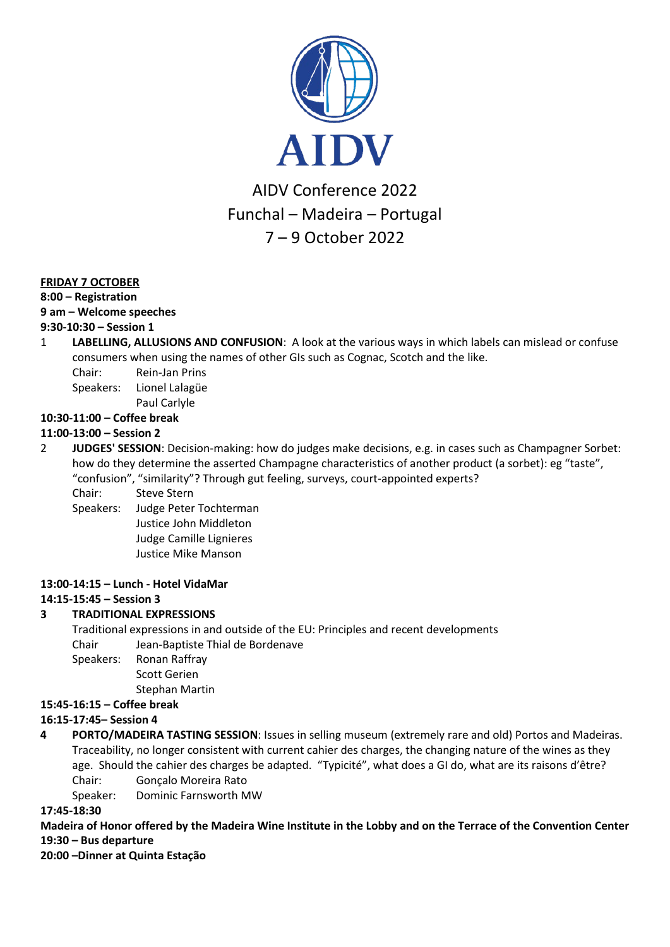

## **FRIDAY 7 OCTOBER**

#### **8:00 – Registration**

#### **9 am – Welcome speeches**

## **9:30-10:30 – Session 1**

- 1 **LABELLING, ALLUSIONS AND CONFUSION**: A look at the various ways in which labels can mislead or confuse consumers when using the names of other GIs such as Cognac, Scotch and the like.
	- Chair: Rein-Jan Prins
	- Speakers: Lionel Lalagüe

Paul Carlyle

## **10:30-11:00 – Coffee break**

#### **11:00-13:00 – Session 2**

2 **JUDGES' SESSION**: Decision-making: how do judges make decisions, e.g. in cases such as Champagner Sorbet: how do they determine the asserted Champagne characteristics of another product (a sorbet): eg "taste", "confusion", "similarity"? Through gut feeling, surveys, court-appointed experts?

Chair: Steve Stern

Speakers: Judge Peter Tochterman Justice John Middleton Judge Camille Lignieres Justice Mike Manson

#### **13:00-14:15 – Lunch - Hotel VidaMar**

## **14:15-15:45 – Session 3**

## **3 TRADITIONAL EXPRESSIONS**

Traditional expressions in and outside of the EU: Principles and recent developments Chair Jean-Baptiste Thial de Bordenave Speakers: Ronan Raffray

Scott Gerien

Stephan Martin

#### **15:45-16:15 – Coffee break**

## **16:15-17:45– Session 4**

**4 PORTO/MADEIRA TASTING SESSION**: Issues in selling museum (extremely rare and old) Portos and Madeiras. Traceability, no longer consistent with current cahier des charges, the changing nature of the wines as they age. Should the cahier des charges be adapted. "Typicité", what does a GI do, what are its raisons d'être? Chair: Gonçalo Moreira Rato

Speaker: Dominic Farnsworth MW

#### **17:45-18:30**

## **Madeira of Honor offered by the Madeira Wine Institute in the Lobby and on the Terrace of the Convention Center 19:30 – Bus departure**

**20:00 –Dinner at Quinta Estação**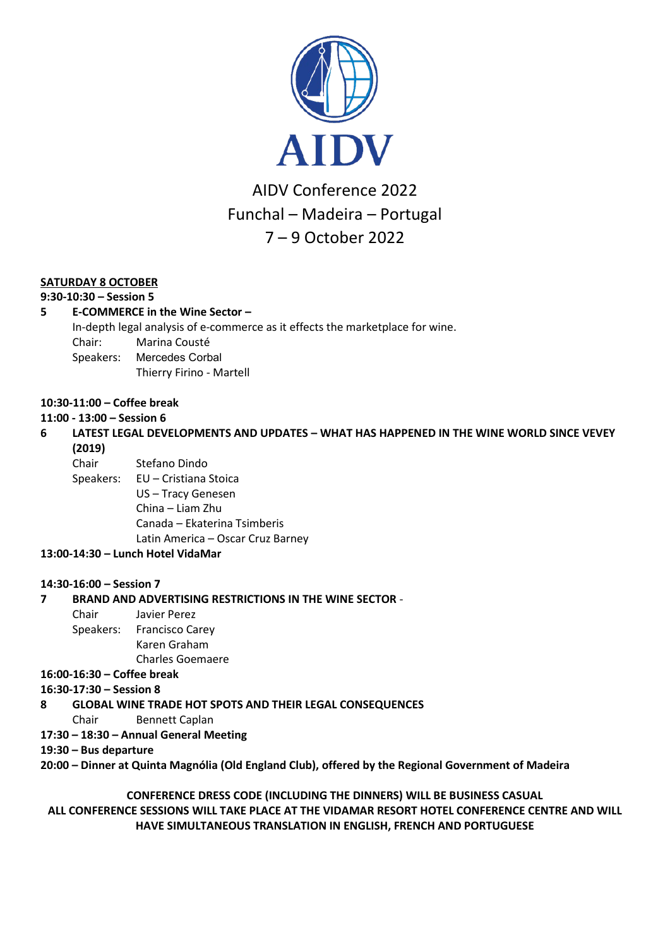

## **SATURDAY 8 OCTOBER**

#### **9:30-10:30 – Session 5**

## **5 E-COMMERCE in the Wine Sector –**

In-depth legal analysis of e-commerce as it effects the marketplace for wine.

- Chair: Marina Cousté
- Speakers: Mercedes Corbal
	- Thierry Firino Martell

#### **10:30-11:00 – Coffee break**

#### **11:00 - 13:00 – Session 6**

## **6 LATEST LEGAL DEVELOPMENTS AND UPDATES – WHAT HAS HAPPENED IN THE WINE WORLD SINCE VEVEY (2019)**

Chair Stefano Dindo

Speakers: EU – Cristiana Stoica US – Tracy Genesen China – Liam Zhu Canada – Ekaterina Tsimberis

Latin America – Oscar Cruz Barney

#### **13:00-14:30 – Lunch Hotel VidaMar**

#### **14:30-16:00 – Session 7**

#### **7 BRAND AND ADVERTISING RESTRICTIONS IN THE WINE SECTOR** -

Chair Javier Perez Speakers: Francisco Carey Karen Graham Charles Goemaere

**16:00-16:30 – Coffee break**

#### **16:30-17:30 – Session 8**

**8 GLOBAL WINE TRADE HOT SPOTS AND THEIR LEGAL CONSEQUENCES**

- Chair Bennett Caplan
- **17:30 – 18:30 – Annual General Meeting**

#### **19:30 – Bus departure**

**20:00 – Dinner at Quinta Magnólia (Old England Club), offered by the Regional Government of Madeira**

## **CONFERENCE DRESS CODE (INCLUDING THE DINNERS) WILL BE BUSINESS CASUAL ALL CONFERENCE SESSIONS WILL TAKE PLACE AT THE VIDAMAR RESORT HOTEL CONFERENCE CENTRE AND WILL HAVE SIMULTANEOUS TRANSLATION IN ENGLISH, FRENCH AND PORTUGUESE**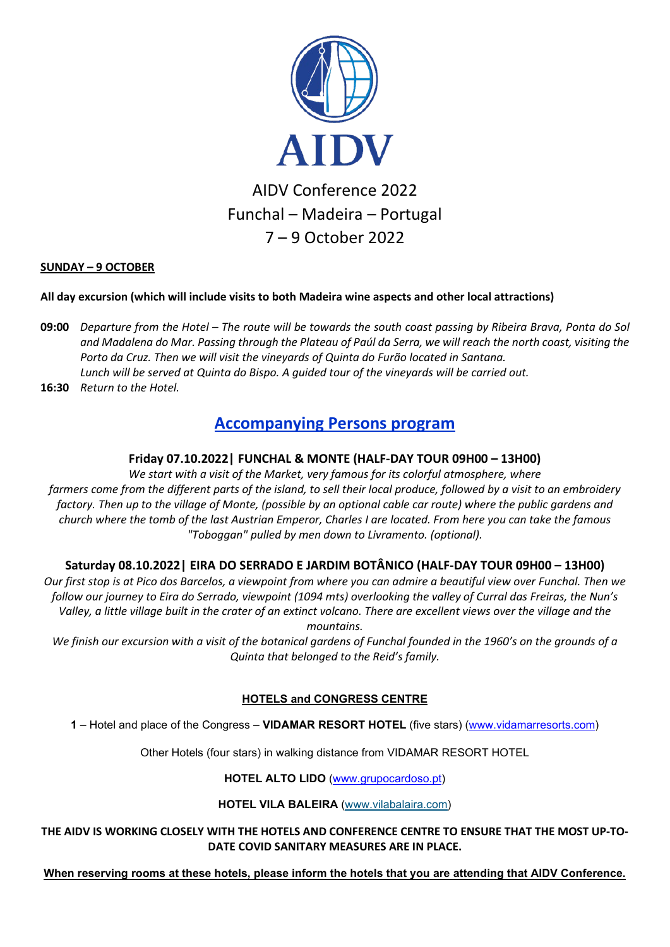

## **SUNDAY – 9 OCTOBER**

## **All day excursion (which will include visits to both Madeira wine aspects and other local attractions)**

- **09:00** *Departure from the Hotel – The route will be towards the south coast passing by Ribeira Brava, Ponta do Sol and Madalena do Mar. Passing through the Plateau of Paúl da Serra, we will reach the north coast, visiting the Porto da Cruz. Then we will visit the vineyards of Quinta do Furão located in Santana. Lunch will be served at Quinta do Bispo. A guided tour of the vineyards will be carried out.*
- **16:30** *Return to the Hotel.*

## **Accompanying Persons program**

## **Friday 07.10.2022| FUNCHAL & MONTE (HALF-DAY TOUR 09H00 – 13H00)**

*We start with a visit of the Market, very famous for its colorful atmosphere, where farmers come from the different parts of the island, to sell their local produce, followed by a visit to an embroidery factory. Then up to the village of Monte, (possible by an optional cable car route) where the public gardens and church where the tomb of the last Austrian Emperor, Charles I are located. From here you can take the famous "Toboggan" pulled by men down to Livramento. (optional).*

## **Saturday 08.10.2022| EIRA DO SERRADO E JARDIM BOTÂNICO (HALF-DAY TOUR 09H00 – 13H00)**

*Our first stop is at Pico dos Barcelos, a viewpoint from where you can admire a beautiful view over Funchal. Then we follow our journey to Eira do Serrado, viewpoint (1094 mts) overlooking the valley of Curral das Freiras, the Nun's Valley, a little village built in the crater of an extinct volcano. There are excellent views over the village and the mountains.*

*We finish our excursion with a visit of the botanical gardens of Funchal founded in the 1960's on the grounds of a Quinta that belonged to the Reid's family.*

## **HOTELS and CONGRESS CENTRE**

**1** – Hotel and place of the Congress – **VIDAMAR RESORT HOTEL** (five stars) [\(www.vidamarresorts.com\)](http://www.vidamarresorts.com/)

Other Hotels (four stars) in walking distance from VIDAMAR RESORT HOTEL

## **HOTEL ALTO LIDO** [\(www.grupocardoso.pt\)](http://www.grupocardoso.pt/)

## **HOTEL VILA BALEIRA** [\(www.vilabalaira.com\)](https://www.vilabaleira.com/hoteis-resorts/vila-baleira-funchal/)

**THE AIDV IS WORKING CLOSELY WITH THE HOTELS AND CONFERENCE CENTRE TO ENSURE THAT THE MOST UP-TO-DATE COVID SANITARY MEASURES ARE IN PLACE.**

**When reserving rooms at these hotels, please inform the hotels that you are attending that AIDV Conference.**